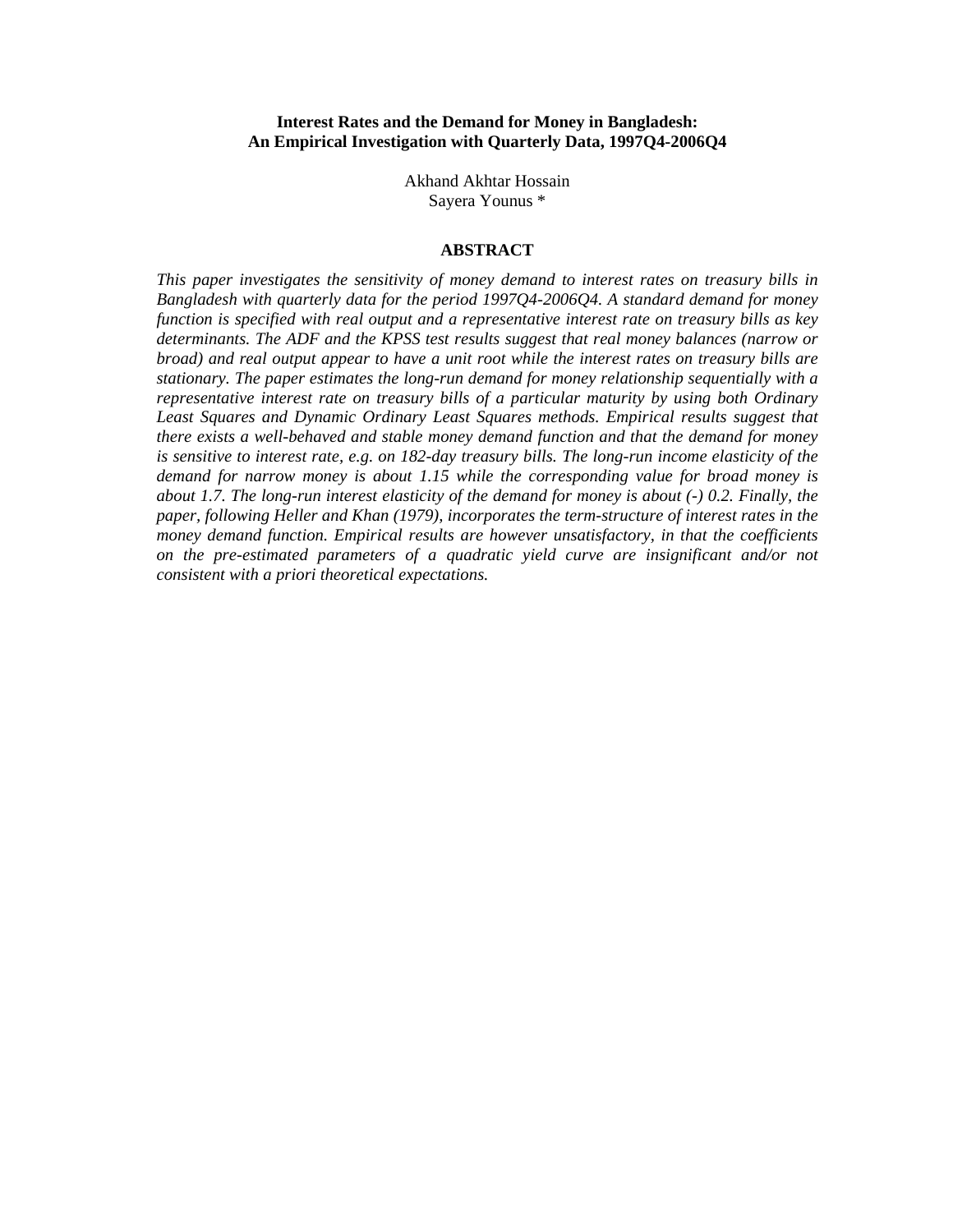### **Interest Rates and the Demand for Money in Bangladesh: An Empirical Investigation with Quarterly Data, 1997Q4-2006Q4**

Akhand Akhtar Hossain Sayera Younus \*

#### **ABSTRACT**

*This paper investigates the sensitivity of money demand to interest rates on treasury bills in Bangladesh with quarterly data for the period 1997Q4-2006Q4. A standard demand for money function is specified with real output and a representative interest rate on treasury bills as key determinants. The ADF and the KPSS test results suggest that real money balances (narrow or broad) and real output appear to have a unit root while the interest rates on treasury bills are stationary. The paper estimates the long-run demand for money relationship sequentially with a representative interest rate on treasury bills of a particular maturity by using both Ordinary Least Squares and Dynamic Ordinary Least Squares methods. Empirical results suggest that there exists a well-behaved and stable money demand function and that the demand for money is sensitive to interest rate, e.g. on 182-day treasury bills. The long-run income elasticity of the demand for narrow money is about 1.15 while the corresponding value for broad money is about 1.7. The long-run interest elasticity of the demand for money is about (-) 0.2. Finally, the paper, following Heller and Khan (1979), incorporates the term-structure of interest rates in the money demand function. Empirical results are however unsatisfactory, in that the coefficients on the pre-estimated parameters of a quadratic yield curve are insignificant and/or not consistent with a priori theoretical expectations.*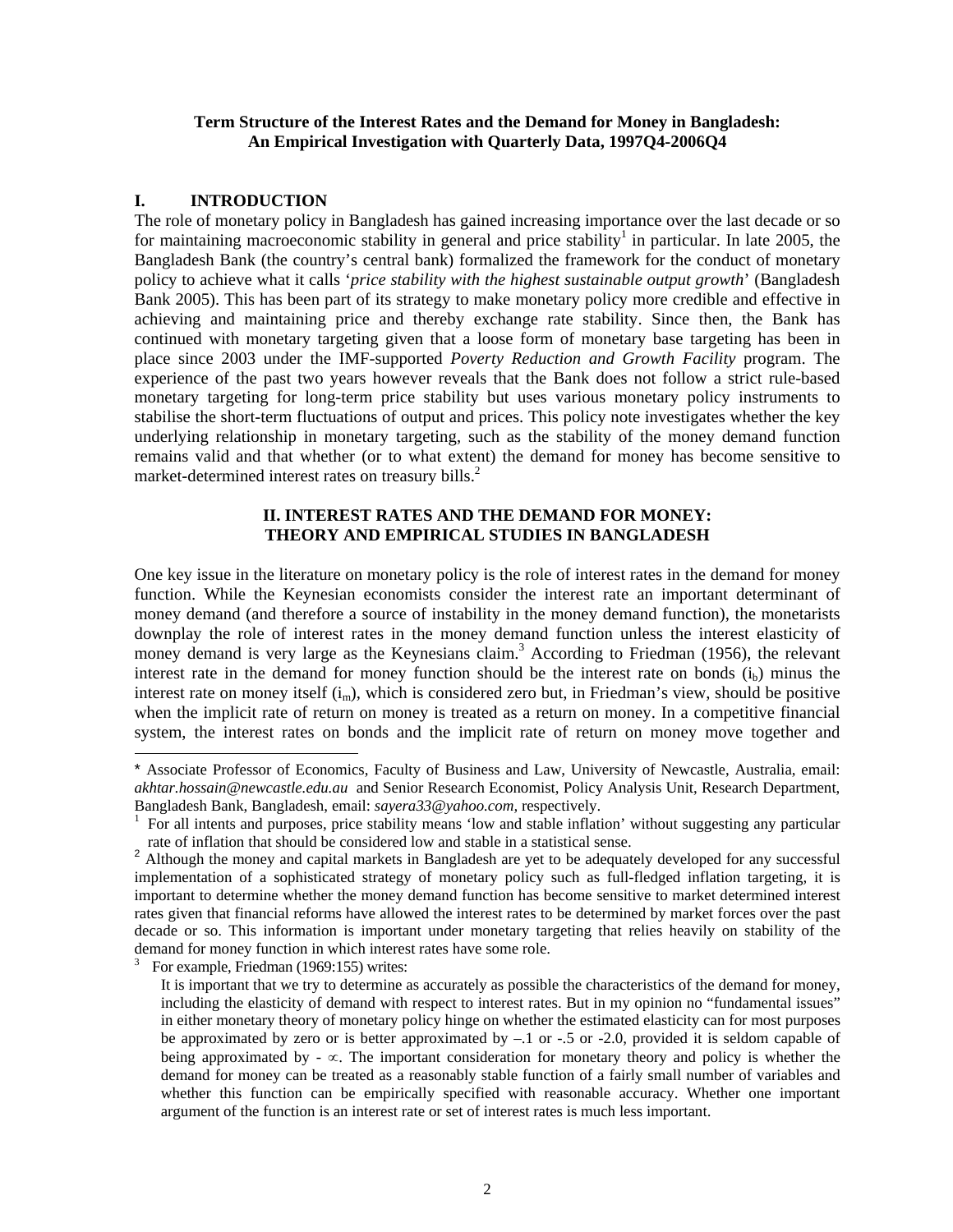### **Term Structure of the Interest Rates and the Demand for Money in Bangladesh: An Empirical Investigation with Quarterly Data, 1997Q4-2006Q4**

### **I. INTRODUCTION**

The role of monetary policy in Bangladesh has gained increasing importance over the last decade or so for maintaining macroeconomic stability in general and price stability<sup>1</sup> in particular. In late 2005, the Bangladesh Bank (the country's central bank) formalized the framework for the conduct of monetary policy to achieve what it calls '*price stability with the highest sustainable output growth*' (Bangladesh Bank 2005). This has been part of its strategy to make monetary policy more credible and effective in achieving and maintaining price and thereby exchange rate stability. Since then, the Bank has continued with monetary targeting given that a loose form of monetary base targeting has been in place since 2003 under the IMF-supported *Poverty Reduction and Growth Facility* program. The experience of the past two years however reveals that the Bank does not follow a strict rule-based monetary targeting for long-term price stability but uses various monetary policy instruments to stabilise the short-term fluctuations of output and prices. This policy note investigates whether the key underlying relationship in monetary targeting, such as the stability of the money demand function remains valid and that whether (or to what extent) the demand for money has become sensitive to market-determined interest rates on treasury bills.<sup>2</sup>

## **II. INTEREST RATES AND THE DEMAND FOR MONEY: THEORY AND EMPIRICAL STUDIES IN BANGLADESH**

One key issue in the literature on monetary policy is the role of interest rates in the demand for money function. While the Keynesian economists consider the interest rate an important determinant of money demand (and therefore a source of instability in the money demand function), the monetarists downplay the role of interest rates in the money demand function unless the interest elasticity of money demand is very large as the Keynesians claim.<sup>3</sup> According to Friedman (1956), the relevant interest rate in the demand for money function should be the interest rate on bonds  $(i<sub>b</sub>)$  minus the interest rate on money itself (i<sub>m</sub>), which is considered zero but, in Friedman's view, should be positive when the implicit rate of return on money is treated as a return on money. In a competitive financial system, the interest rates on bonds and the implicit rate of return on money move together and

<sup>\*</sup> Associate Professor of Economics, Faculty of Business and Law, University of Newcastle, Australia, email: *akhtar.hossain@newcastle.edu.au* and Senior Research Economist, Policy Analysis Unit, Research Department, Bangladesh Bank, Bangladesh, email: *sayera33@yahoo.com,* respectively. 1

For all intents and purposes, price stability means 'low and stable inflation' without suggesting any particular rate of inflation that should be considered low and stable in a statistical sense.

<sup>&</sup>lt;sup>2</sup> Although the money and capital markets in Bangladesh are yet to be adequately developed for any successful implementation of a sophisticated strategy of monetary policy such as full-fledged inflation targeting, it is important to determine whether the money demand function has become sensitive to market determined interest rates given that financial reforms have allowed the interest rates to be determined by market forces over the past decade or so. This information is important under monetary targeting that relies heavily on stability of the demand for money function in which interest rates have some role. 3

For example, Friedman (1969:155) writes:

It is important that we try to determine as accurately as possible the characteristics of the demand for money, including the elasticity of demand with respect to interest rates. But in my opinion no "fundamental issues" in either monetary theory of monetary policy hinge on whether the estimated elasticity can for most purposes be approximated by zero or is better approximated by  $-1$  or  $-0.5$  or  $-2.0$ , provided it is seldom capable of being approximated by  $- \infty$ . The important consideration for monetary theory and policy is whether the demand for money can be treated as a reasonably stable function of a fairly small number of variables and whether this function can be empirically specified with reasonable accuracy. Whether one important argument of the function is an interest rate or set of interest rates is much less important.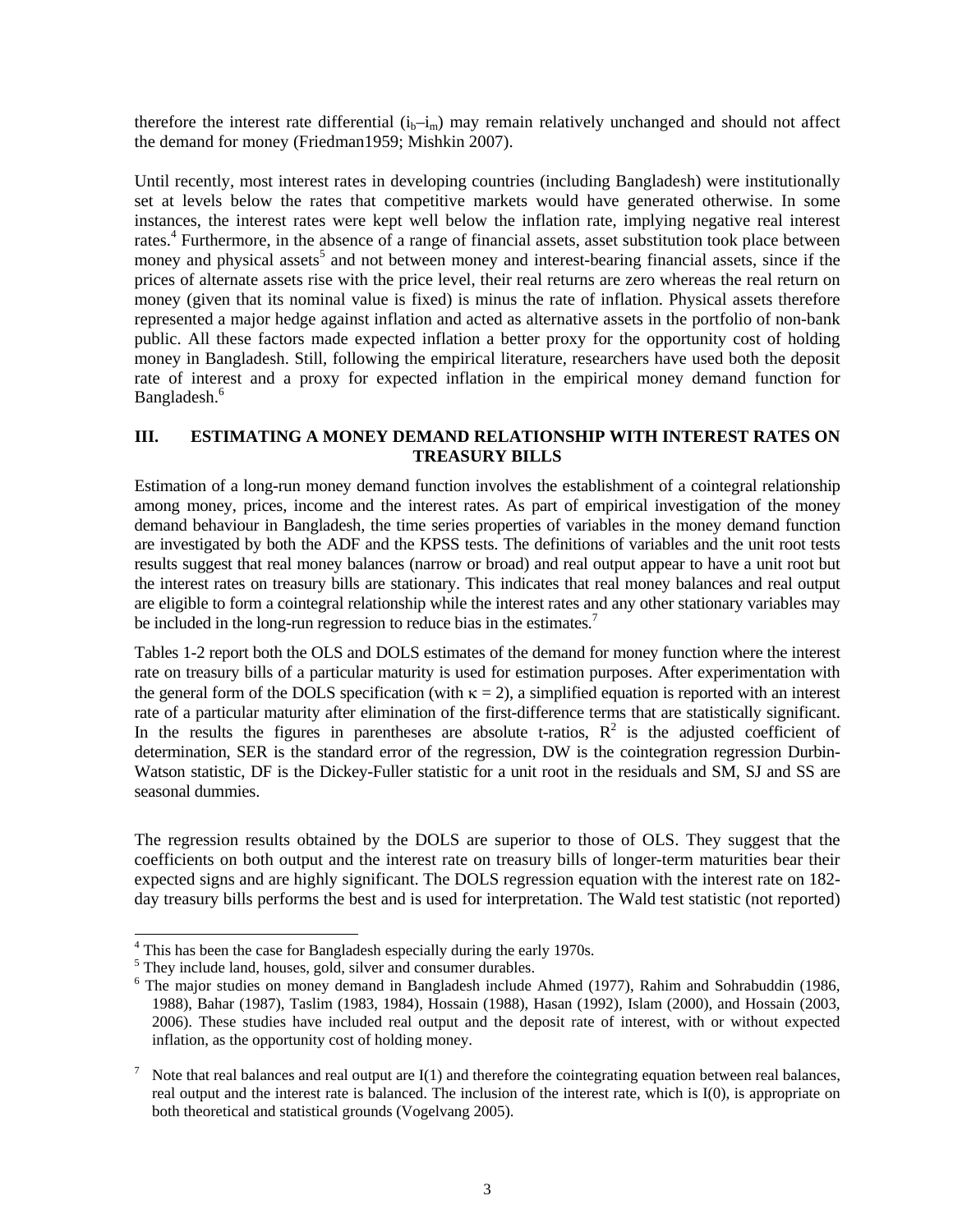therefore the interest rate differential  $(i_b-i_m)$  may remain relatively unchanged and should not affect the demand for money (Friedman1959; Mishkin 2007).

Until recently, most interest rates in developing countries (including Bangladesh) were institutionally set at levels below the rates that competitive markets would have generated otherwise. In some instances, the interest rates were kept well below the inflation rate, implying negative real interest rates.<sup>4</sup> Furthermore, in the absence of a range of financial assets, asset substitution took place between money and physical assets<sup>5</sup> and not between money and interest-bearing financial assets, since if the prices of alternate assets rise with the price level, their real returns are zero whereas the real return on money (given that its nominal value is fixed) is minus the rate of inflation. Physical assets therefore represented a major hedge against inflation and acted as alternative assets in the portfolio of non-bank public. All these factors made expected inflation a better proxy for the opportunity cost of holding money in Bangladesh. Still, following the empirical literature, researchers have used both the deposit rate of interest and a proxy for expected inflation in the empirical money demand function for Bangladesh.<sup>6</sup>

## **III. ESTIMATING A MONEY DEMAND RELATIONSHIP WITH INTEREST RATES ON TREASURY BILLS**

Estimation of a long-run money demand function involves the establishment of a cointegral relationship among money, prices, income and the interest rates. As part of empirical investigation of the money demand behaviour in Bangladesh, the time series properties of variables in the money demand function are investigated by both the ADF and the KPSS tests. The definitions of variables and the unit root tests results suggest that real money balances (narrow or broad) and real output appear to have a unit root but the interest rates on treasury bills are stationary. This indicates that real money balances and real output are eligible to form a cointegral relationship while the interest rates and any other stationary variables may be included in the long-run regression to reduce bias in the estimates.<sup>7</sup>

Tables 1-2 report both the OLS and DOLS estimates of the demand for money function where the interest rate on treasury bills of a particular maturity is used for estimation purposes. After experimentation with the general form of the DOLS specification (with  $\kappa = 2$ ), a simplified equation is reported with an interest rate of a particular maturity after elimination of the first-difference terms that are statistically significant. In the results the figures in parentheses are absolute t-ratios,  $R^2$  is the adjusted coefficient of determination, SER is the standard error of the regression, DW is the cointegration regression Durbin-Watson statistic, DF is the Dickey-Fuller statistic for a unit root in the residuals and SM, SJ and SS are seasonal dummies.

The regression results obtained by the DOLS are superior to those of OLS. They suggest that the coefficients on both output and the interest rate on treasury bills of longer-term maturities bear their expected signs and are highly significant. The DOLS regression equation with the interest rate on 182 day treasury bills performs the best and is used for interpretation. The Wald test statistic (not reported)

<sup>&</sup>lt;sup>4</sup> This has been the case for Bangladesh especially during the early 1970s.

 $^5$  They include land, houses, gold, silver and consumer durables.

<sup>&</sup>lt;sup>6</sup> The major studies on money demand in Bangladesh include Ahmed (1977), Rahim and Sohrabuddin (1986, 1988), Bahar (1987), Taslim (1983, 1984), Hossain (1988), Hasan (1992), Islam (2000), and Hossain (2003, 2006). These studies have included real output and the deposit rate of interest, with or without expected inflation, as the opportunity cost of holding money.

<sup>7</sup> Note that real balances and real output are  $I(1)$  and therefore the cointegrating equation between real balances, real output and the interest rate is balanced. The inclusion of the interest rate, which is I(0), is appropriate on both theoretical and statistical grounds (Vogelvang 2005).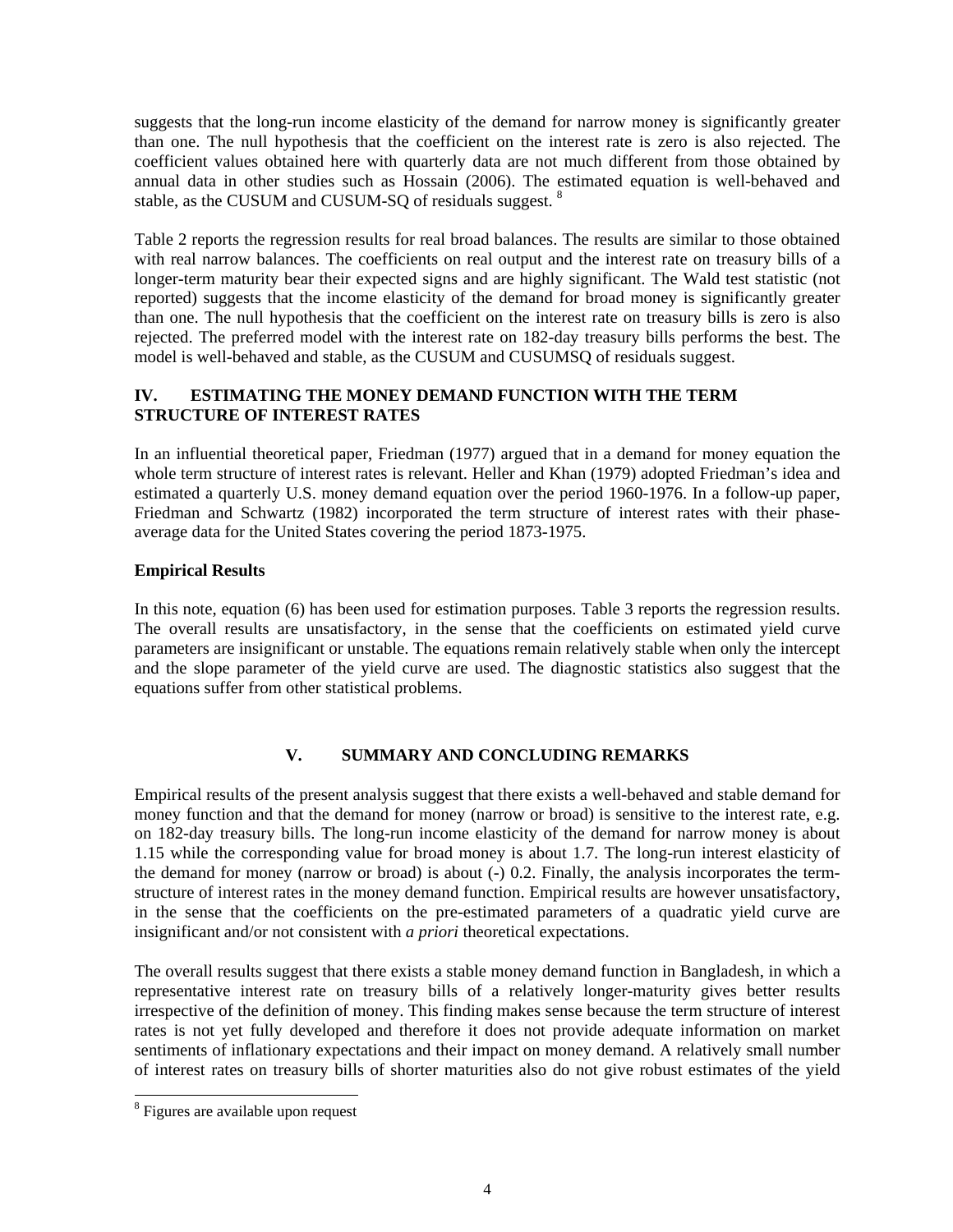suggests that the long-run income elasticity of the demand for narrow money is significantly greater than one. The null hypothesis that the coefficient on the interest rate is zero is also rejected. The coefficient values obtained here with quarterly data are not much different from those obtained by annual data in other studies such as Hossain (2006). The estimated equation is well-behaved and stable, as the CUSUM and CUSUM-SQ of residuals suggest. <sup>8</sup>

Table 2 reports the regression results for real broad balances. The results are similar to those obtained with real narrow balances. The coefficients on real output and the interest rate on treasury bills of a longer-term maturity bear their expected signs and are highly significant. The Wald test statistic (not reported) suggests that the income elasticity of the demand for broad money is significantly greater than one. The null hypothesis that the coefficient on the interest rate on treasury bills is zero is also rejected. The preferred model with the interest rate on 182-day treasury bills performs the best. The model is well-behaved and stable, as the CUSUM and CUSUMSQ of residuals suggest.

## **IV. ESTIMATING THE MONEY DEMAND FUNCTION WITH THE TERM STRUCTURE OF INTEREST RATES**

In an influential theoretical paper, Friedman (1977) argued that in a demand for money equation the whole term structure of interest rates is relevant. Heller and Khan (1979) adopted Friedman's idea and estimated a quarterly U.S. money demand equation over the period 1960-1976. In a follow-up paper, Friedman and Schwartz (1982) incorporated the term structure of interest rates with their phaseaverage data for the United States covering the period 1873-1975.

## **Empirical Results**

In this note, equation (6) has been used for estimation purposes. Table 3 reports the regression results. The overall results are unsatisfactory, in the sense that the coefficients on estimated yield curve parameters are insignificant or unstable. The equations remain relatively stable when only the intercept and the slope parameter of the yield curve are used. The diagnostic statistics also suggest that the equations suffer from other statistical problems.

## **V. SUMMARY AND CONCLUDING REMARKS**

Empirical results of the present analysis suggest that there exists a well-behaved and stable demand for money function and that the demand for money (narrow or broad) is sensitive to the interest rate, e.g. on 182-day treasury bills. The long-run income elasticity of the demand for narrow money is about 1.15 while the corresponding value for broad money is about 1.7. The long-run interest elasticity of the demand for money (narrow or broad) is about (-) 0.2. Finally, the analysis incorporates the termstructure of interest rates in the money demand function. Empirical results are however unsatisfactory, in the sense that the coefficients on the pre-estimated parameters of a quadratic yield curve are insignificant and/or not consistent with *a priori* theoretical expectations.

The overall results suggest that there exists a stable money demand function in Bangladesh, in which a representative interest rate on treasury bills of a relatively longer-maturity gives better results irrespective of the definition of money. This finding makes sense because the term structure of interest rates is not yet fully developed and therefore it does not provide adequate information on market sentiments of inflationary expectations and their impact on money demand. A relatively small number of interest rates on treasury bills of shorter maturities also do not give robust estimates of the yield

<sup>&</sup>lt;sup>8</sup> Figures are available upon request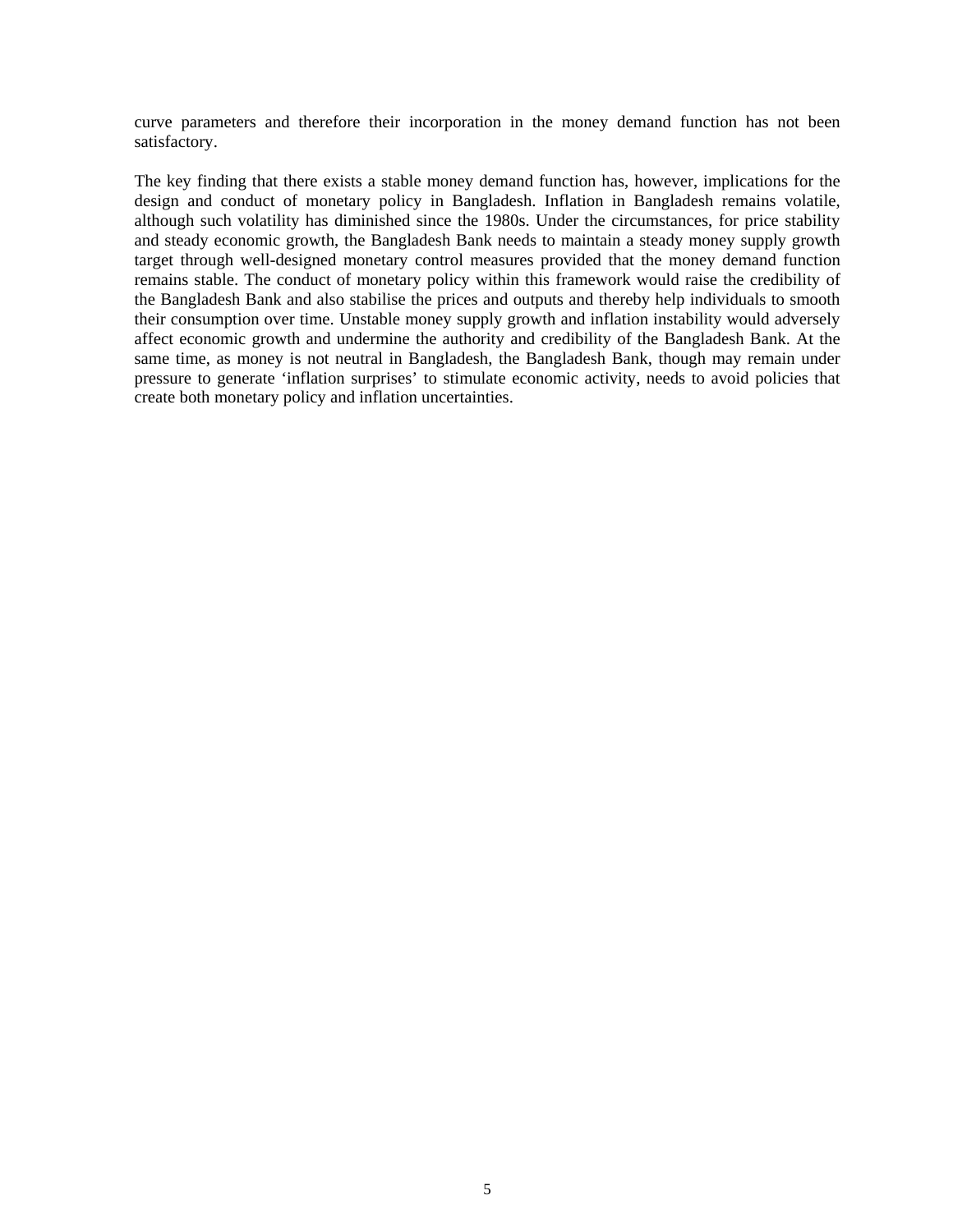curve parameters and therefore their incorporation in the money demand function has not been satisfactory.

The key finding that there exists a stable money demand function has, however, implications for the design and conduct of monetary policy in Bangladesh. Inflation in Bangladesh remains volatile, although such volatility has diminished since the 1980s. Under the circumstances, for price stability and steady economic growth, the Bangladesh Bank needs to maintain a steady money supply growth target through well-designed monetary control measures provided that the money demand function remains stable. The conduct of monetary policy within this framework would raise the credibility of the Bangladesh Bank and also stabilise the prices and outputs and thereby help individuals to smooth their consumption over time. Unstable money supply growth and inflation instability would adversely affect economic growth and undermine the authority and credibility of the Bangladesh Bank. At the same time, as money is not neutral in Bangladesh, the Bangladesh Bank, though may remain under pressure to generate 'inflation surprises' to stimulate economic activity, needs to avoid policies that create both monetary policy and inflation uncertainties.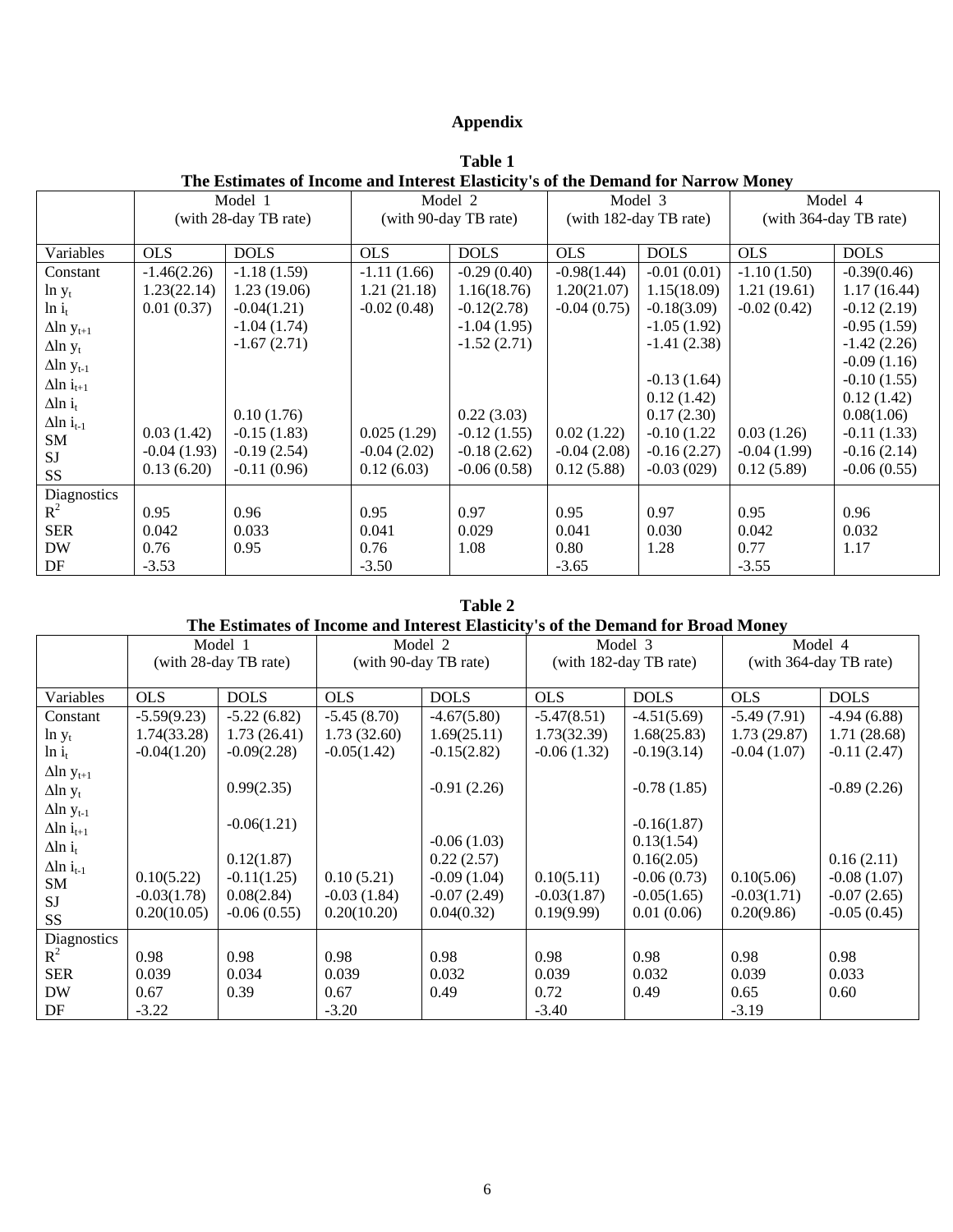# **Appendix**

| The Estimates of Income and Interest Elasticity's of the Demand for Narrow Money |                       |               |                       |               |                        |               |                        |               |
|----------------------------------------------------------------------------------|-----------------------|---------------|-----------------------|---------------|------------------------|---------------|------------------------|---------------|
|                                                                                  | Model 1               |               | Model 2               |               | Model 3                |               | Model 4                |               |
|                                                                                  | (with 28-day TB rate) |               | (with 90-day TB rate) |               | (with 182-day TB rate) |               | (with 364-day TB rate) |               |
|                                                                                  |                       |               |                       |               |                        |               |                        |               |
| Variables                                                                        | <b>OLS</b>            | <b>DOLS</b>   | <b>OLS</b>            | <b>DOLS</b>   | <b>OLS</b>             | <b>DOLS</b>   | <b>OLS</b>             | <b>DOLS</b>   |
| Constant                                                                         | $-1.46(2.26)$         | $-1.18(1.59)$ | $-1.11(1.66)$         | $-0.29(0.40)$ | $-0.98(1.44)$          | $-0.01(0.01)$ | $-1.10(1.50)$          | $-0.39(0.46)$ |
| $\ln y_t$                                                                        | 1.23(22.14)           | 1.23(19.06)   | 1.21(21.18)           | 1.16(18.76)   | 1.20(21.07)            | 1.15(18.09)   | 1.21(19.61)            | 1.17(16.44)   |
| $\ln i_t$                                                                        | 0.01(0.37)            | $-0.04(1.21)$ | $-0.02(0.48)$         | $-0.12(2.78)$ | $-0.04(0.75)$          | $-0.18(3.09)$ | $-0.02(0.42)$          | $-0.12(2.19)$ |
| $\Delta$ ln y <sub>t+1</sub>                                                     |                       | $-1.04(1.74)$ |                       | $-1.04(1.95)$ |                        | $-1.05(1.92)$ |                        | $-0.95(1.59)$ |
| $\Delta$ ln y <sub>t</sub>                                                       |                       | $-1.67(2.71)$ |                       | $-1.52(2.71)$ |                        | $-1.41(2.38)$ |                        | $-1.42(2.26)$ |
| $\Delta$ ln y <sub>t-1</sub>                                                     |                       |               |                       |               |                        |               |                        | $-0.09(1.16)$ |
| $\Delta$ ln i <sub>t+1</sub>                                                     |                       |               |                       |               |                        | $-0.13(1.64)$ |                        | $-0.10(1.55)$ |
| $\Delta$ ln i <sub>t</sub>                                                       |                       |               |                       |               |                        | 0.12(1.42)    |                        | 0.12(1.42)    |
| $\Delta$ ln i <sub>t-1</sub>                                                     |                       | 0.10(1.76)    |                       | 0.22(3.03)    |                        | 0.17(2.30)    |                        | 0.08(1.06)    |
| SM                                                                               | 0.03(1.42)            | $-0.15(1.83)$ | 0.025(1.29)           | $-0.12(1.55)$ | 0.02(1.22)             | $-0.10(1.22)$ | 0.03(1.26)             | $-0.11(1.33)$ |
| <b>SJ</b>                                                                        | $-0.04(1.93)$         | $-0.19(2.54)$ | $-0.04(2.02)$         | $-0.18(2.62)$ | $-0.04(2.08)$          | $-0.16(2.27)$ | $-0.04(1.99)$          | $-0.16(2.14)$ |
| SS                                                                               | 0.13(6.20)            | $-0.11(0.96)$ | 0.12(6.03)            | $-0.06(0.58)$ | 0.12(5.88)             | $-0.03(029)$  | 0.12(5.89)             | $-0.06(0.55)$ |
| Diagnostics                                                                      |                       |               |                       |               |                        |               |                        |               |
| $R^2$                                                                            | 0.95                  | 0.96          | 0.95                  | 0.97          | 0.95                   | 0.97          | 0.95                   | 0.96          |
| <b>SER</b>                                                                       | 0.042                 | 0.033         | 0.041                 | 0.029         | 0.041                  | 0.030         | 0.042                  | 0.032         |
| <b>DW</b>                                                                        | 0.76                  | 0.95          | 0.76                  | 1.08          | 0.80                   | 1.28          | 0.77                   | 1.17          |
| DF                                                                               | $-3.53$               |               | $-3.50$               |               | $-3.65$                |               | $-3.55$                |               |

**Table 1 The Estimates of Income and Interest Elasticity's of the Demand for Narrow Money** 

## **Table 2**

# **The Estimates of Income and Interest Elasticity's of the Demand for Broad Money**

|                              | Model 1               |               | Model 2               |               | Model 3                |               | Model 4                |               |
|------------------------------|-----------------------|---------------|-----------------------|---------------|------------------------|---------------|------------------------|---------------|
|                              | (with 28-day TB rate) |               | (with 90-day TB rate) |               | (with 182-day TB rate) |               | (with 364-day TB rate) |               |
|                              |                       |               |                       |               |                        |               |                        |               |
| Variables                    | <b>OLS</b>            | <b>DOLS</b>   | <b>OLS</b>            | <b>DOLS</b>   | <b>OLS</b>             | <b>DOLS</b>   | <b>OLS</b>             | <b>DOLS</b>   |
| Constant                     | $-5.59(9.23)$         | $-5.22(6.82)$ | $-5.45(8.70)$         | $-4.67(5.80)$ | $-5.47(8.51)$          | $-4.51(5.69)$ | $-5.49(7.91)$          | $-4.94(6.88)$ |
| $\ln y_t$                    | 1.74(33.28)           | 1.73(26.41)   | 1.73(32.60)           | 1.69(25.11)   | 1.73(32.39)            | 1.68(25.83)   | 1.73(29.87)            | 1.71(28.68)   |
| $\ln i_t$                    | $-0.04(1.20)$         | $-0.09(2.28)$ | $-0.05(1.42)$         | $-0.15(2.82)$ | $-0.06(1.32)$          | $-0.19(3.14)$ | $-0.04(1.07)$          | $-0.11(2.47)$ |
| $\Delta$ ln y <sub>t+1</sub> |                       |               |                       |               |                        |               |                        |               |
| $\Delta$ ln y <sub>t</sub>   |                       | 0.99(2.35)    |                       | $-0.91(2.26)$ |                        | $-0.78(1.85)$ |                        | $-0.89(2.26)$ |
| $\Delta$ ln y <sub>t-1</sub> |                       |               |                       |               |                        |               |                        |               |
| $\Delta$ ln i <sub>t+1</sub> |                       | $-0.06(1.21)$ |                       |               |                        | $-0.16(1.87)$ |                        |               |
| $\Delta$ ln i <sub>t</sub>   |                       |               |                       | $-0.06(1.03)$ |                        | 0.13(1.54)    |                        |               |
| $\Delta$ ln i <sub>t-1</sub> |                       | 0.12(1.87)    |                       | 0.22(2.57)    |                        | 0.16(2.05)    |                        | 0.16(2.11)    |
| SM                           | 0.10(5.22)            | $-0.11(1.25)$ | 0.10(5.21)            | $-0.09(1.04)$ | 0.10(5.11)             | $-0.06(0.73)$ | 0.10(5.06)             | $-0.08(1.07)$ |
| <b>SJ</b>                    | $-0.03(1.78)$         | 0.08(2.84)    | $-0.03(1.84)$         | $-0.07(2.49)$ | $-0.03(1.87)$          | $-0.05(1.65)$ | $-0.03(1.71)$          | $-0.07(2.65)$ |
| SS                           | 0.20(10.05)           | $-0.06(0.55)$ | 0.20(10.20)           | 0.04(0.32)    | 0.19(9.99)             | 0.01(0.06)    | 0.20(9.86)             | $-0.05(0.45)$ |
| Diagnostics                  |                       |               |                       |               |                        |               |                        |               |
| $R^2$                        | 0.98                  | 0.98          | 0.98                  | 0.98          | 0.98                   | 0.98          | 0.98                   | 0.98          |
| <b>SER</b>                   | 0.039                 | 0.034         | 0.039                 | 0.032         | 0.039                  | 0.032         | 0.039                  | 0.033         |
| <b>DW</b>                    | 0.67                  | 0.39          | 0.67                  | 0.49          | 0.72                   | 0.49          | 0.65                   | 0.60          |
| DF                           | $-3.22$               |               | $-3.20$               |               | $-3.40$                |               | $-3.19$                |               |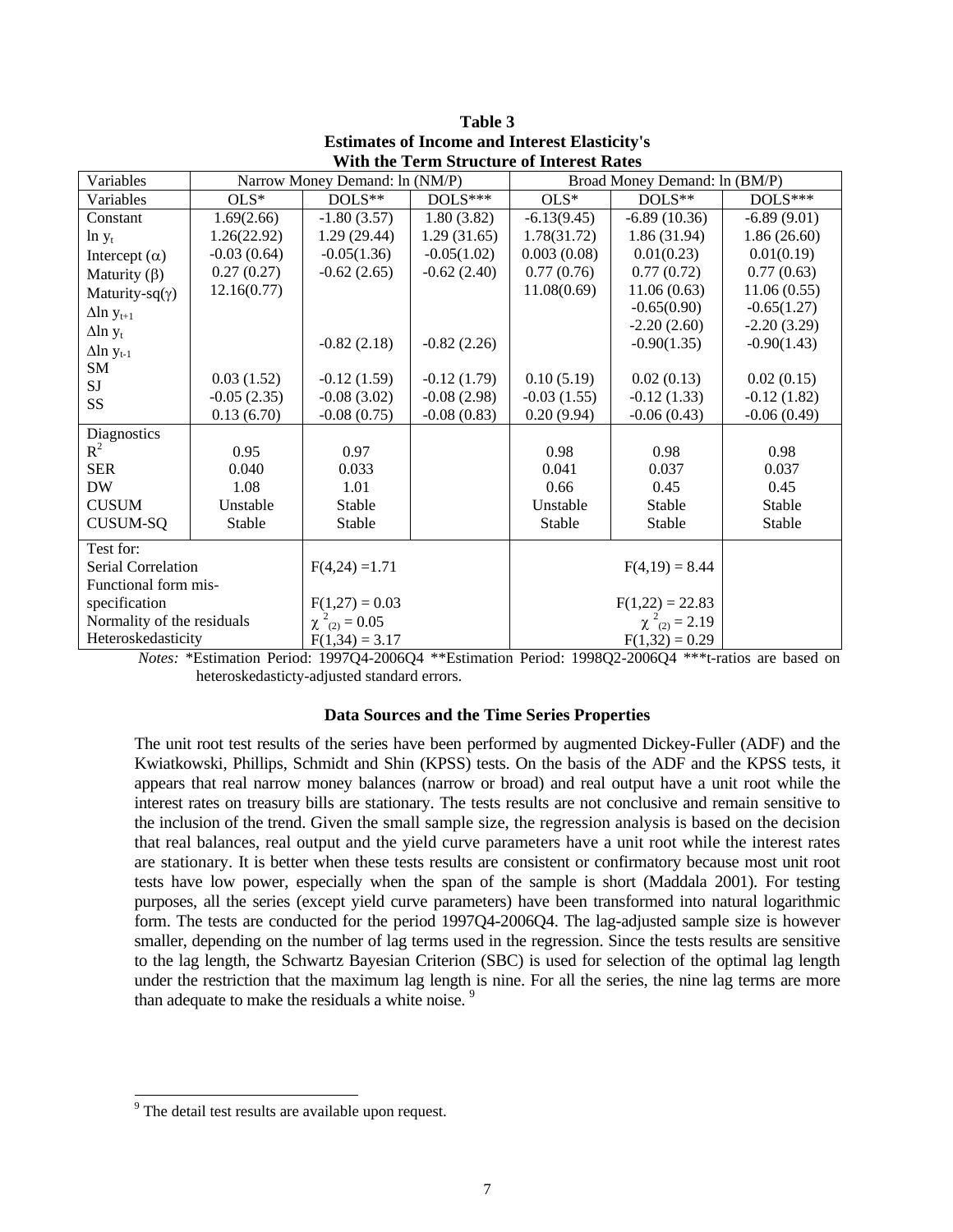| Variables                    |               | Narrow Money Demand: ln (NM/P) |                  | Broad Money Demand: ln (BM/P) |                |               |  |
|------------------------------|---------------|--------------------------------|------------------|-------------------------------|----------------|---------------|--|
| Variables                    | $OLS*$        | DOLS**                         | $DOLS***$        | $OLS*$                        | $DOLS**$       | $DOLS***$     |  |
| Constant                     | 1.69(2.66)    | $-1.80(3.57)$                  | 1.80(3.82)       | $-6.13(9.45)$                 | $-6.89(10.36)$ | $-6.89(9.01)$ |  |
| $\ln y_t$                    | 1.26(22.92)   | 1.29(29.44)                    | 1.29(31.65)      | 1.78(31.72)                   | 1.86(31.94)    | 1.86(26.60)   |  |
| Intercept $(\alpha)$         | $-0.03(0.64)$ | $-0.05(1.36)$                  | $-0.05(1.02)$    | 0.003(0.08)                   | 0.01(0.23)     | 0.01(0.19)    |  |
| Maturity $(\beta)$           | 0.27(0.27)    | $-0.62(2.65)$                  | $-0.62(2.40)$    | 0.77(0.76)                    | 0.77(0.72)     | 0.77(0.63)    |  |
| Maturity-sq( $\gamma$ )      | 12.16(0.77)   |                                |                  | 11.08(0.69)                   | 11.06(0.63)    | 11.06(0.55)   |  |
| $\Delta$ ln y <sub>t+1</sub> |               |                                |                  |                               | $-0.65(0.90)$  | $-0.65(1.27)$ |  |
| $\Delta$ ln y <sub>t</sub>   |               |                                |                  |                               | $-2.20(2.60)$  | $-2.20(3.29)$ |  |
| $\Delta$ ln y <sub>t-1</sub> |               | $-0.82(2.18)$                  | $-0.82(2.26)$    |                               | $-0.90(1.35)$  | $-0.90(1.43)$ |  |
| SM                           |               |                                |                  |                               |                |               |  |
| SJ                           | 0.03(1.52)    | $-0.12(1.59)$                  | $-0.12(1.79)$    | 0.10(5.19)                    | 0.02(0.13)     | 0.02(0.15)    |  |
| SS                           | $-0.05(2.35)$ | $-0.08(3.02)$                  | $-0.08(2.98)$    | $-0.03(1.55)$                 | $-0.12(1.33)$  | $-0.12(1.82)$ |  |
|                              | 0.13(6.70)    | $-0.08(0.75)$                  | $-0.08(0.83)$    | 0.20(9.94)                    | $-0.06(0.43)$  | $-0.06(0.49)$ |  |
| Diagnostics                  |               |                                |                  |                               |                |               |  |
| $R^2$                        | 0.95          | 0.97                           |                  | 0.98                          | 0.98           | 0.98          |  |
| <b>SER</b>                   | 0.040         | 0.033                          |                  | 0.041                         | 0.037          | 0.037         |  |
| <b>DW</b>                    | 1.08          | 1.01                           |                  | 0.66                          | 0.45           | 0.45          |  |
| <b>CUSUM</b>                 | Unstable      | Stable                         |                  | Unstable                      | Stable         | Stable        |  |
| <b>CUSUM-SQ</b>              | Stable        | Stable                         |                  | Stable                        | Stable         | Stable        |  |
| Test for:                    |               |                                |                  |                               |                |               |  |
| Serial Correlation           |               | $F(4,24) = 1.71$               |                  | $F(4,19) = 8.44$              |                |               |  |
| Functional form mis-         |               |                                |                  |                               |                |               |  |
| specification                |               | $F(1,27) = 0.03$               |                  | $F(1,22) = 22.83$             |                |               |  |
| Normality of the residuals   |               | $\chi^2_{(2)} = 0.05$          |                  | $\chi^2_{(2)} = 2.19$         |                |               |  |
| Heteroskedasticity           |               | $F(1,34) = 3.17$               | $F(1,32) = 0.29$ |                               |                |               |  |

**Table 3 Estimates of Income and Interest Elasticity's With the Term Structure of Interest Rates** 

*Notes:* \*Estimation Period: 1997Q4-2006Q4 \*\*Estimation Period: 1998Q2-2006Q4 \*\*\*t-ratios are based on heteroskedasticty-adjusted standard errors.

### **Data Sources and the Time Series Properties**

The unit root test results of the series have been performed by augmented Dickey-Fuller (ADF) and the Kwiatkowski, Phillips, Schmidt and Shin (KPSS) tests. On the basis of the ADF and the KPSS tests, it appears that real narrow money balances (narrow or broad) and real output have a unit root while the interest rates on treasury bills are stationary. The tests results are not conclusive and remain sensitive to the inclusion of the trend. Given the small sample size, the regression analysis is based on the decision that real balances, real output and the yield curve parameters have a unit root while the interest rates are stationary. It is better when these tests results are consistent or confirmatory because most unit root tests have low power, especially when the span of the sample is short (Maddala 2001). For testing purposes, all the series (except yield curve parameters) have been transformed into natural logarithmic form. The tests are conducted for the period 1997Q4-2006Q4. The lag-adjusted sample size is however smaller, depending on the number of lag terms used in the regression. Since the tests results are sensitive to the lag length, the Schwartz Bayesian Criterion (SBC) is used for selection of the optimal lag length under the restriction that the maximum lag length is nine. For all the series, the nine lag terms are more than adequate to make the residuals a white noise.<sup>9</sup>

<sup>&</sup>lt;sup>9</sup> The detail test results are available upon request.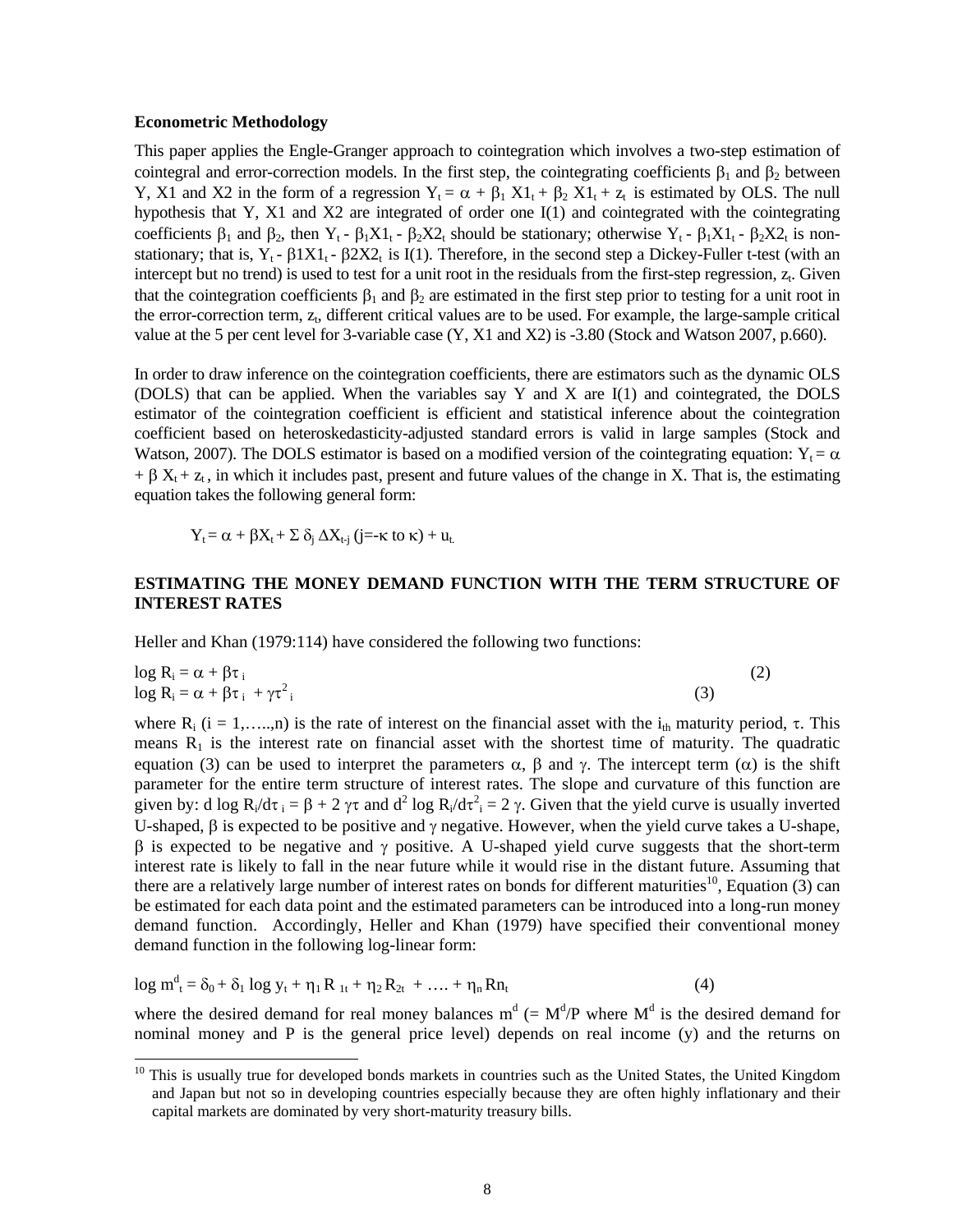#### **Econometric Methodology**

l

This paper applies the Engle-Granger approach to cointegration which involves a two-step estimation of cointegral and error-correction models. In the first step, the cointegrating coefficients  $\beta_1$  and  $\beta_2$  between Y, X1 and X2 in the form of a regression  $Y_t = \alpha + \beta_1 X1_t + \beta_2 X1_t + z_t$  is estimated by OLS. The null hypothesis that Y, X1 and X2 are integrated of order one I(1) and cointegrated with the cointegrating coefficients  $\beta_1$  and  $\beta_2$ , then  $Y_t$  -  $\beta_1X_1$  -  $\beta_2X_2$  should be stationary; otherwise  $Y_t$  -  $\beta_1X_1$  -  $\beta_2X_2$  is nonstationary; that is,  $Y_t$  -  $\beta 1X1_t$  -  $\beta 2X2_t$  is I(1). Therefore, in the second step a Dickey-Fuller t-test (with an intercept but no trend) is used to test for a unit root in the residuals from the first-step regression,  $z<sub>i</sub>$ . Given that the cointegration coefficients  $\beta_1$  and  $\beta_2$  are estimated in the first step prior to testing for a unit root in the error-correction term,  $z_t$ , different critical values are to be used. For example, the large-sample critical value at the 5 per cent level for 3-variable case (Y, X1 and X2) is -3.80 (Stock and Watson 2007, p.660).

In order to draw inference on the cointegration coefficients, there are estimators such as the dynamic OLS (DOLS) that can be applied. When the variables say Y and X are I(1) and cointegrated, the DOLS estimator of the cointegration coefficient is efficient and statistical inference about the cointegration coefficient based on heteroskedasticity-adjusted standard errors is valid in large samples (Stock and Watson, 2007). The DOLS estimator is based on a modified version of the cointegrating equation:  $Y_t = \alpha$  $+ \beta X_t + z_t$ , in which it includes past, present and future values of the change in X. That is, the estimating equation takes the following general form:

$$
Y_t = \alpha + \beta X_t + \Sigma \, \delta_j \, \Delta X_{t,j} \, (j = -\kappa \, \text{to} \, \kappa) + u_t
$$

## **ESTIMATING THE MONEY DEMAND FUNCTION WITH THE TERM STRUCTURE OF INTEREST RATES**

Heller and Khan (1979:114) have considered the following two functions:

$$
\log R_i = \alpha + \beta \tau_i \tag{2}
$$
  

$$
\log R_i = \alpha + \beta \tau_i + \gamma \tau_i^2 \tag{3}
$$

where  $R_i$  (i = 1,…..,n) is the rate of interest on the financial asset with the i<sub>th</sub> maturity period,  $\tau$ . This means  $R_1$  is the interest rate on financial asset with the shortest time of maturity. The quadratic equation (3) can be used to interpret the parameters  $\alpha$ ,  $\beta$  and  $\gamma$ . The intercept term (α) is the shift parameter for the entire term structure of interest rates. The slope and curvature of this function are given by: d log  $R_i/d\tau_i = \beta + 2 \gamma \tau$  and  $d^2 \log R_i/d\tau_i^2 = 2 \gamma$ . Given that the yield curve is usually inverted U-shaped,  $\beta$  is expected to be positive and  $\gamma$  negative. However, when the yield curve takes a U-shape,  $β$  is expected to be negative and γ positive. A U-shaped yield curve suggests that the short-term interest rate is likely to fall in the near future while it would rise in the distant future. Assuming that there are a relatively large number of interest rates on bonds for different maturities<sup>10</sup>, Equation (3) can be estimated for each data point and the estimated parameters can be introduced into a long-run money demand function. Accordingly, Heller and Khan (1979) have specified their conventional money demand function in the following log-linear form:

$$
\log m_{t}^{d} = \delta_{0} + \delta_{1} \log y_{t} + \eta_{1} R_{1t} + \eta_{2} R_{2t} + \dots + \eta_{n} R n_{t}
$$
\n(4)

where the desired demand for real money balances  $m^d$  (=  $M^d/P$  where  $M^d$  is the desired demand for nominal money and P is the general price level) depends on real income (y) and the returns on

<sup>&</sup>lt;sup>10</sup> This is usually true for developed bonds markets in countries such as the United States, the United Kingdom and Japan but not so in developing countries especially because they are often highly inflationary and their capital markets are dominated by very short-maturity treasury bills.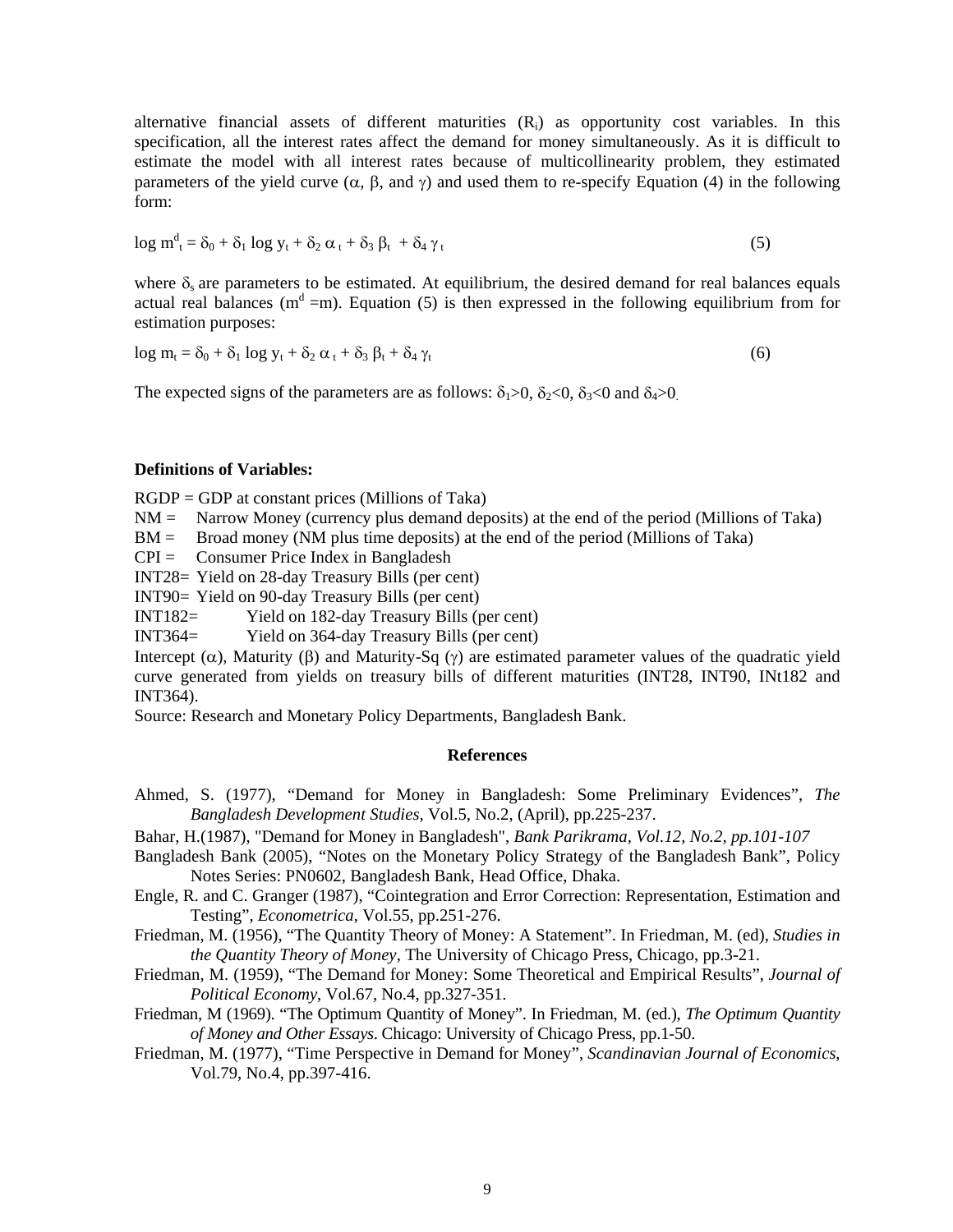alternative financial assets of different maturities  $(R<sub>i</sub>)$  as opportunity cost variables. In this specification, all the interest rates affect the demand for money simultaneously. As it is difficult to estimate the model with all interest rates because of multicollinearity problem, they estimated parameters of the yield curve  $(\alpha, \beta, \text{ and } \gamma)$  and used them to re-specify Equation (4) in the following form:

$$
\log m_t^d = \delta_0 + \delta_1 \log y_t + \delta_2 \alpha_t + \delta_3 \beta_t + \delta_4 \gamma_t \tag{5}
$$

where  $\delta_s$  are parameters to be estimated. At equilibrium, the desired demand for real balances equals actual real balances ( $m<sup>d</sup> = m$ ). Equation (5) is then expressed in the following equilibrium from for estimation purposes:

$$
\log m_t = \delta_0 + \delta_1 \log y_t + \delta_2 \alpha_t + \delta_3 \beta_t + \delta_4 \gamma_t \tag{6}
$$

The expected signs of the parameters are as follows:  $\delta_1 > 0$ ,  $\delta_2 < 0$ ,  $\delta_3 < 0$  and  $\delta_4 > 0$ .

### **Definitions of Variables:**

 $RGDP = GDP$  at constant prices (Millions of Taka)

 $NM =$  Narrow Money (currency plus demand deposits) at the end of the period (Millions of Taka)

BM = Broad money (NM plus time deposits) at the end of the period (Millions of Taka)

 $CPI =$  Consumer Price Index in Bangladesh

INT28= Yield on 28-day Treasury Bills (per cent)

INT90= Yield on 90-day Treasury Bills (per cent)

INT182= Yield on 182-day Treasury Bills (per cent)

INT364= Yield on 364-day Treasury Bills (per cent)

Intercept (α), Maturity (β) and Maturity-Sq (γ) are estimated parameter values of the quadratic yield curve generated from yields on treasury bills of different maturities (INT28, INT90, INt182 and INT364).

Source: Research and Monetary Policy Departments, Bangladesh Bank.

### **References**

Ahmed, S. (1977), "Demand for Money in Bangladesh: Some Preliminary Evidences", *The Bangladesh Development Studies,* Vol.5, No.2, (April), pp.225-237.

Bahar, H.(1987), "Demand for Money in Bangladesh", *Bank Parikrama, Vol.12, No.2, pp.101-107* 

- Bangladesh Bank (2005), "Notes on the Monetary Policy Strategy of the Bangladesh Bank", Policy Notes Series: PN0602, Bangladesh Bank, Head Office, Dhaka.
- Engle, R. and C. Granger (1987), "Cointegration and Error Correction: Representation, Estimation and Testing", *Econometrica*, Vol.55, pp.251-276.
- Friedman, M. (1956), "The Quantity Theory of Money: A Statement". In Friedman, M. (ed), *Studies in the Quantity Theory of Money*, The University of Chicago Press, Chicago, pp.3-21.
- Friedman, M. (1959), "The Demand for Money: Some Theoretical and Empirical Results", *Journal of Political Economy*, Vol.67, No.4, pp.327-351.
- Friedman, M (1969). "The Optimum Quantity of Money". In Friedman, M. (ed.), *The Optimum Quantity of Money and Other Essays*. Chicago: University of Chicago Press, pp.1-50.
- Friedman, M. (1977), "Time Perspective in Demand for Money", *Scandinavian Journal of Economics*, Vol.79, No.4, pp.397-416.